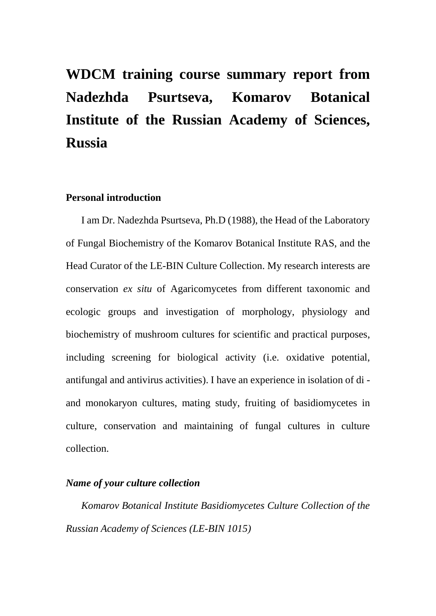# **WDCM training course summary report from Nadezhda Psurtseva, Komarov Botanical Institute of the Russian Academy of Sciences, Russia**

# **Personal introduction**

I am Dr. Nadezhda Psurtseva, Ph.D (1988), the Head of the Laboratory of Fungal Biochemistry of the Komarov Botanical Institute RAS, and the Head Curator of the LE-BIN Culture Collection. My research interests are conservation *ex situ* of Agaricomycetes from different taxonomic and ecologic groups and investigation of morphology, physiology and biochemistry of mushroom cultures for scientific and practical purposes, including screening for biological activity (i.e. oxidative potential, antifungal and antivirus activities). I have an experience in isolation of di and monokaryon cultures, mating study, fruiting of basidiomycetes in culture, conservation and maintaining of fungal cultures in culture collection.

#### *Name of your culture collection*

*Komarov Botanical Institute Basidiomycetes Culture Collection of the Russian Academy of Sciences (LE-BIN 1015)*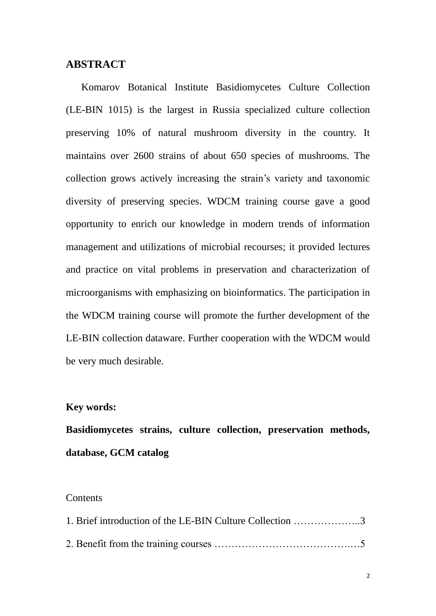# **ABSTRACT**

Komarov Botanical Institute Basidiomycetes Culture Collection (LE-BIN 1015) is the largest in Russia specialized culture collection preserving 10% of natural mushroom diversity in the country. It maintains over 2600 strains of about 650 species of mushrooms. The collection grows actively increasing the strain's variety and taxonomic diversity of preserving species. WDCM training course gave a good opportunity to enrich our knowledge in modern trends of information management and utilizations of microbial recourses; it provided lectures and practice on vital problems in preservation and characterization of microorganisms with emphasizing on bioinformatics. The participation in the WDCM training course will promote the further development of the LE-BIN collection dataware. Further cooperation with the WDCM would be very much desirable.

#### **Key words:**

**Basidiomycetes strains, culture collection, preservation methods, database, GCM catalog**

#### **Contents**

| 1. Brief introduction of the LE-BIN Culture Collection 3 |
|----------------------------------------------------------|
|                                                          |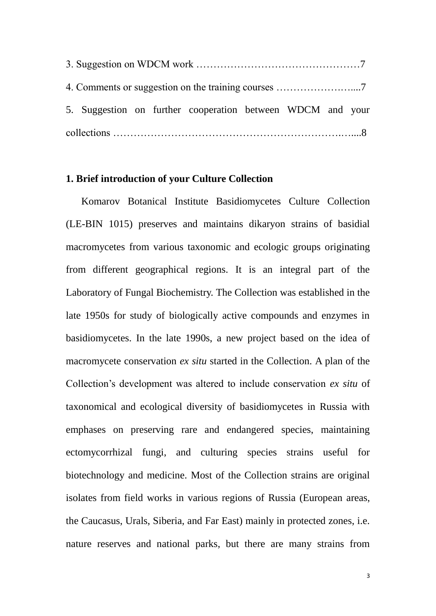|  |  |  |  | 5. Suggestion on further cooperation between WDCM and your |  |  |  |  |  |
|--|--|--|--|------------------------------------------------------------|--|--|--|--|--|
|  |  |  |  |                                                            |  |  |  |  |  |

### **1. Brief introduction of your Culture Collection**

Komarov Botanical Institute Basidiomycetes Culture Collection (LE-BIN 1015) preserves and maintains dikaryon strains of basidial macromycetes from various taxonomic and ecologic groups originating from different geographical regions. It is an integral part of the Laboratory of Fungal Biochemistry. The Collection was established in the late 1950s for study of biologically active compounds and enzymes in basidiomycetes. In the late 1990s, a new project based on the idea of macromycete conservation *ex situ* started in the Collection. A plan of the Collection's development was altered to include conservation *ex situ* of taxonomical and ecological diversity of basidiomycetes in Russia with emphases on preserving rare and endangered species, maintaining ectomycorrhizal fungi, and culturing species strains useful for biotechnology and medicine. Most of the Collection strains are original isolates from field works in various regions of Russia (European areas, the Caucasus, Urals, Siberia, and Far East) mainly in protected zones, i.e. nature reserves and national parks, but there are many strains from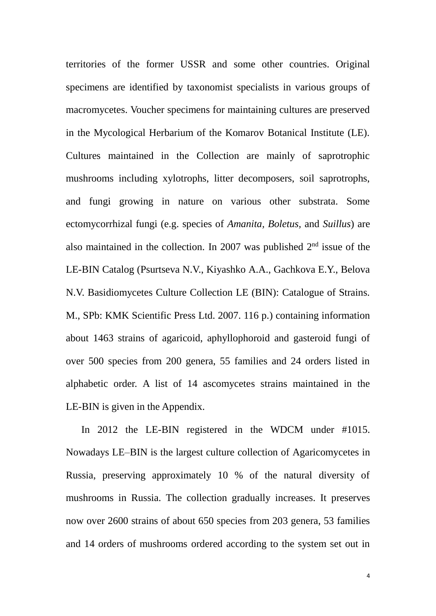territories of the former USSR and some other countries. Original specimens are identified by taxonomist specialists in various groups of macromycetes. Voucher specimens for maintaining cultures are preserved in the Mycological Herbarium of the Komarov Botanical Institute (LE). Cultures maintained in the Collection are mainly of saprotrophic mushrooms including xylotrophs, litter decomposers, soil saprotrophs, and fungi growing in nature on various other substrata. Some ectomycorrhizal fungi (e.g. species of *Amanita, Boletus,* and *Suillus*) are also maintained in the collection. In 2007 was published  $2<sup>nd</sup>$  issue of the LE-BIN Catalog (Psurtseva N.V., Kiyashko A.A., Gachkova E.Y., Belova N.V. Basidiomycetes Culture Collection LE (BIN): Catalogue of Strains. M., SPb: KMK Scientific Press Ltd. 2007. 116 p.) containing information about 1463 strains of agaricoid, aphyllophoroid and gasteroid fungi of over 500 species from 200 genera, 55 families and 24 orders listed in alphabetic order. A list of 14 ascomycetes strains maintained in the LE-BIN is given in the Appendix.

In 2012 the LE-BIN registered in the WDCM under #1015. Nowadays LE–BIN is the largest culture collection of Agaricomycetes in Russia, preserving approximately 10 % of the natural diversity of mushrooms in Russia. The collection gradually increases. It preserves now over 2600 strains of about 650 species from 203 genera, 53 families and 14 orders of mushrooms ordered according to the system set out in

4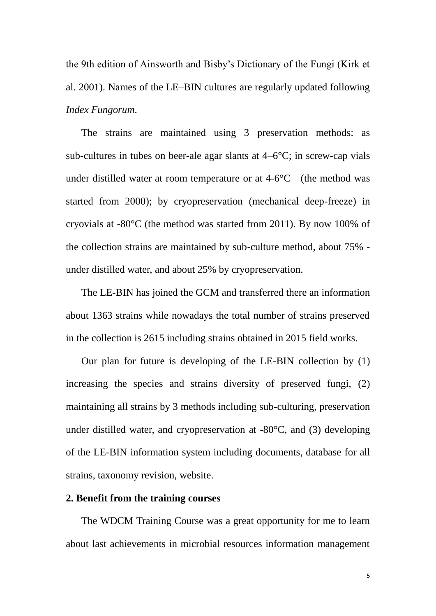the 9th edition of Ainsworth and Bisby's Dictionary of the Fungi (Kirk et al. 2001). Names of the LE–BIN cultures are regularly updated following *Index Fungorum*.

The strains are maintained using 3 preservation methods: as sub-cultures in tubes on beer-ale agar slants at  $4-6\text{ C}$ ; in screw-cap vials under distilled water at room temperature or at  $4-6$ °C (the method was started from 2000); by cryopreservation (mechanical deep-freeze) in cryovials at -80  $\mathcal{C}$  (the method was started from 2011). By now 100% of the collection strains are maintained by sub-culture method, about 75% under distilled water, and about 25% by cryopreservation.

The LE-BIN has joined the GCM and transferred there an information about 1363 strains while nowadays the total number of strains preserved in the collection is 2615 including strains obtained in 2015 field works.

Our plan for future is developing of the LE-BIN collection by (1) increasing the species and strains diversity of preserved fungi, (2) maintaining all strains by 3 methods including sub-culturing, preservation under distilled water, and cryopreservation at -80  $\mathbb{C}$ , and (3) developing of the LE-BIN information system including documents, database for all strains, taxonomy revision, website.

# **2. Benefit from the training courses**

The WDCM Training Course was a great opportunity for me to learn about last achievements in microbial resources information management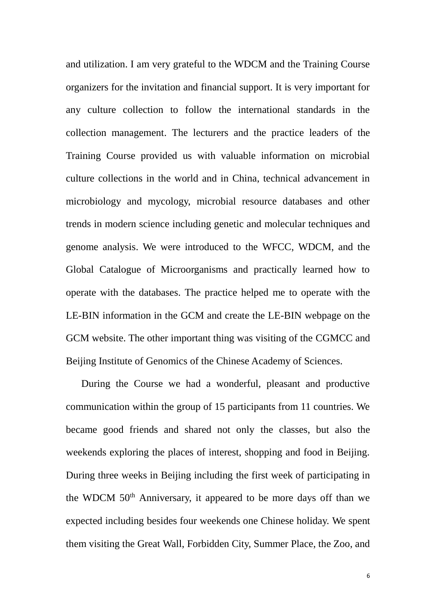and utilization. I am very grateful to the WDCM and the Training Course organizers for the invitation and financial support. It is very important for any culture collection to follow the international standards in the collection management. The lecturers and the practice leaders of the Training Course provided us with valuable information on microbial culture collections in the world and in China, technical advancement in microbiology and mycology, microbial resource databases and other trends in modern science including genetic and molecular techniques and genome analysis. We were introduced to the WFCC, WDCM, and the Global Catalogue of Microorganisms and practically learned how to operate with the databases. The practice helped me to operate with the LE-BIN information in the GCM and create the LE-BIN webpage on the GCM website. The other important thing was visiting of the CGMCC and Beijing Institute of Genomics of the Chinese Academy of Sciences.

During the Course we had a wonderful, pleasant and productive communication within the group of 15 participants from 11 countries. We became good friends and shared not only the classes, but also the weekends exploring the places of interest, shopping and food in Beijing. During three weeks in Beijing including the first week of participating in the WDCM 50th Anniversary, it appeared to be more days off than we expected including besides four weekends one Chinese holiday. We spent them visiting the Great Wall, Forbidden City, Summer Place, the Zoo, and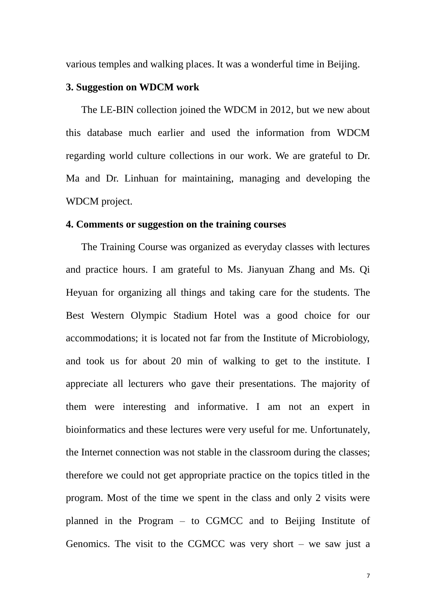various temples and walking places. It was a wonderful time in Beijing.

#### **3. Suggestion on WDCM work**

The LE-BIN collection joined the WDCM in 2012, but we new about this database much earlier and used the information from WDCM regarding world culture collections in our work. We are grateful to Dr. Ma and Dr. Linhuan for maintaining, managing and developing the WDCM project.

#### **4. Comments or suggestion on the training courses**

The Training Course was organized as everyday classes with lectures and practice hours. I am grateful to Ms. Jianyuan Zhang and Ms. Qi Heyuan for organizing all things and taking care for the students. The Best Western Olympic Stadium Hotel was a good choice for our accommodations; it is located not far from the Institute of Microbiology, and took us for about 20 min of walking to get to the institute. I appreciate all lecturers who gave their presentations. The majority of them were interesting and informative. I am not an expert in bioinformatics and these lectures were very useful for me. Unfortunately, the Internet connection was not stable in the classroom during the classes; therefore we could not get appropriate practice on the topics titled in the program. Most of the time we spent in the class and only 2 visits were planned in the Program – to CGMCC and to Beijing Institute of Genomics. The visit to the CGMCC was very short – we saw just a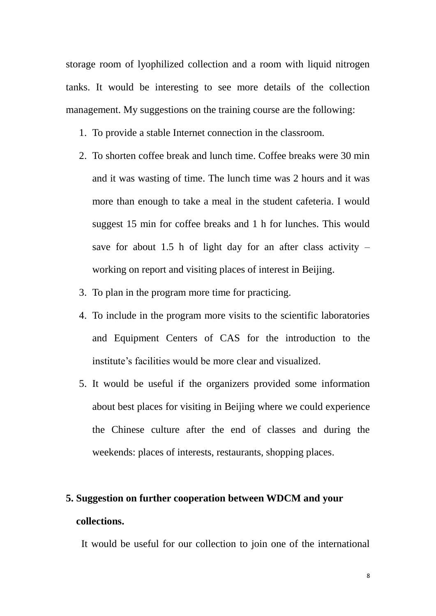storage room of lyophilized collection and a room with liquid nitrogen tanks. It would be interesting to see more details of the collection management. My suggestions on the training course are the following:

- 1. To provide a stable Internet connection in the classroom.
- 2. To shorten coffee break and lunch time. Coffee breaks were 30 min and it was wasting of time. The lunch time was 2 hours and it was more than enough to take a meal in the student cafeteria. I would suggest 15 min for coffee breaks and 1 h for lunches. This would save for about 1.5 h of light day for an after class activity  $$ working on report and visiting places of interest in Beijing.
- 3. To plan in the program more time for practicing.
- 4. To include in the program more visits to the scientific laboratories and Equipment Centers of CAS for the introduction to the institute's facilities would be more clear and visualized.
- 5. It would be useful if the organizers provided some information about best places for visiting in Beijing where we could experience the Chinese culture after the end of classes and during the weekends: places of interests, restaurants, shopping places.

# **5. Suggestion on further cooperation between WDCM and your collections.**

It would be useful for our collection to join one of the international